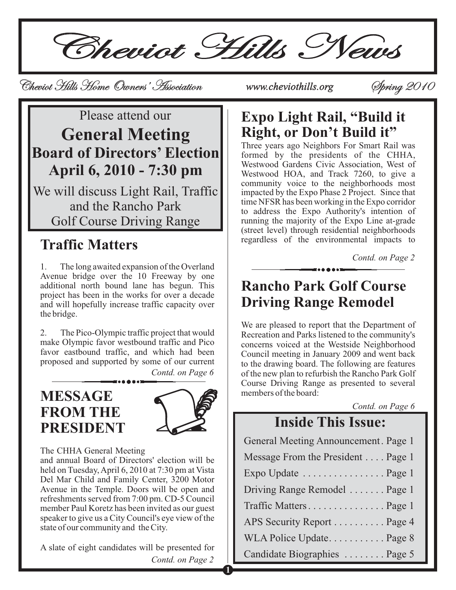Solution Service Cheviot Cheviot Cheviot Hills Home Curners' Association<br>Please attend our Reprise Registered Service Cheviot Cheviot Chevil di Ch*e*viot Hills Home Owners' Association Cheviothills.org Phring 2010<br>Service Spring 2010 Spring 2010 Spring 2010 Spring 2010 Spring 2010 Spring 2010 Spring 2010 Spring 2010 Spring 20

# Please attend our **General Meeting Board of Directors' Election April 6, 2010 - 7:30 pm**

We will discuss Light Rail, Traffic and the Rancho Park Golf Course Driving Range

# **Traffic Matters**

1. The long awaited expansion of the Overland Avenue bridge over the 10 Freeway by one additional north bound lane has begun. This project has been in the works for over a decade and will hopefully increase traffic capacity over the bridge.

2. The Pico-Olympic traffic project that would make Olympic favor westbound traffic and Pico favor eastbound traffic, and which had been proposed and supported by some of our current

*Contd. on Page 6*

### **MESSAGE FROM THE PRESIDENT**



**1**

The CHHA General Meeting

and annual Board of Directors' election will be held on Tuesday, April 6, 2010 at 7:30 pm at Vista Del Mar Child and Family Center, 3200 Motor Avenue in the Temple. Doors will be open and refreshments served from 7:00 pm. CD-5 Council member Paul Koretz has been invited as our guest speaker to give us a City Council's eye view of the state of our community and the City.

*Contd. on Page 2* A slate of eight candidates will be presented for

# **Expo Light Rail, "Build it Right, or Don't Build it"**

Three years ago Neighbors For Smart Rail was formed by the presidents of the CHHA, Westwood Gardens Civic Association, West of Westwood HOA, and Track 7260, to give a community voice to the neighborhoods most impacted by the Expo Phase 2 Project. Since that time NFSR has been working in the Expo corridor to address the Expo Authority's intention of running the majority of the Expo Line at-grade (street level) through residential neighborhoods regardless of the environmental impacts to

*Contd. on Page 2*

# **Rancho Park Golf Course Driving Range Remodel**

We are pleased to report that the Department of Recreation and Parks listened to the community's concerns voiced at the Westside Neighborhood Council meeting in January 2009 and went back to the drawing board. The following are features of the new plan to refurbish the Rancho Park Golf Course Driving Range as presented to several members of the board:

*Contd. on Page 6*

# **Inside This Issue:**

| General Meeting Announcement. Page 1 |
|--------------------------------------|
| Message From the President Page 1    |
| Expo Update  Page 1                  |
| Driving Range Remodel  Page 1        |
| Traffic Matters Page 1               |
| APS Security Report Page 4           |
| WLA Police Update Page 8             |
| Candidate Biographies  Page 5        |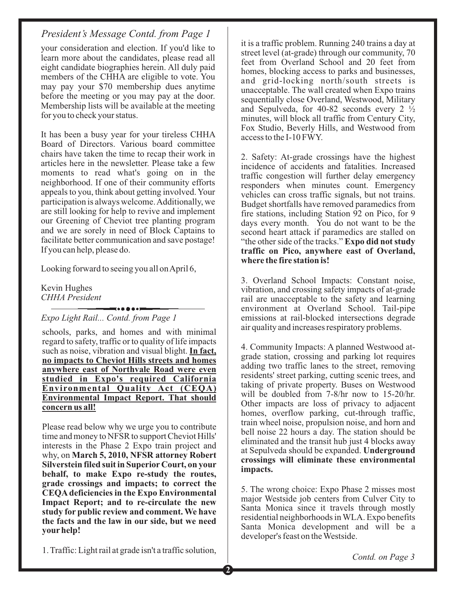your consideration and election. If you'd like to learn more about the candidates, please read all eight candidate biographies herein. All duly paid members of the CHHA are eligible to vote. You may pay your \$70 membership dues anytime before the meeting or you may pay at the door. Membership lists will be available at the meeting for you to check your status.

It has been a busy year for your tireless CHHA Board of Directors. Various board committee chairs have taken the time to recap their work in articles here in the newsletter. Please take a few moments to read what's going on in the neighborhood. If one of their community efforts appeals to you, think about getting involved. Your participation is always welcome.Additionally, we are still looking for help to revive and implement our Greening of Cheviot tree planting program and we are sorely in need of Block Captains to facilitate better communication and save postage! If you can help, please do.

Looking forward to seeing you all on April 6,

Kevin Hughes *CHHA President*

*Expo Light Rail... Contd. from Page 1*

schools, parks, and homes and with minimal regard to safety, traffic or to quality of life impacts such as noise, vibration and visual blight. **In fact, no impacts to Cheviot Hills streets and homes anywhere east of Northvale Road were even studied in Expo's required California Environmental Quality Act (CEQA) Environmental Impact Report. That should concern us all!**

Please read below why we urge you to contribute time and money to NFSR to support Cheviot Hills' interests in the Phase 2 Expo train project and why, on **March 5, 2010, NFSR attorney Robert Silverstein filed suit in Superior Court, on your behalf, to make Expo re-study the routes, grade crossings and impacts; to correct the CEQA deficiencies in the Expo Environmental Impact Report; and to re-circulate the new study for public review and comment. We have the facts and the law in our side, but we need your help!**

it is a traffic problem. Running 240 trains a day at street level (at-grade) through our community, 70 feet from Overland School and 20 feet from homes, blocking access to parks and businesses, and grid-locking north/south streets is unacceptable. The wall created when Expo trains sequentially close Overland, Westwood, Military and Sepulveda, for 40-82 seconds every  $2 \frac{1}{2}$ minutes, will block all traffic from Century City, Fox Studio, Beverly Hills, and Westwood from access to the I-10 FWY.

2. Safety: At-grade crossings have the highest incidence of accidents and fatalities. Increased traffic congestion will further delay emergency responders when minutes count. Emergency vehicles can cross traffic signals, but not trains. Budget shortfalls have removed paramedics from fire stations, including Station 92 on Pico, for 9 days every month. You do not want to be the second heart attack if paramedics are stalled on "the other side of the tracks." **Expo did not study traffic on Pico, anywhere east of Overland, where the fire station is!**

3. Overland School Impacts: Constant noise, vibration, and crossing safety impacts of at-grade rail are unacceptable to the safety and learning environment at Overland School. Tail-pipe emissions at rail-blocked intersections degrade air quality and increases respiratory problems.

4. Community Impacts: A planned Westwood atgrade station, crossing and parking lot requires adding two traffic lanes to the street, removing residents' street parking, cutting scenic trees, and taking of private property. Buses on Westwood will be doubled from 7-8/hr now to 15-20/hr. Other impacts are loss of privacy to adjacent homes, overflow parking, cut-through traffic, train wheel noise, propulsion noise, and horn and bell noise 22 hours a day. The station should be eliminated and the transit hub just 4 blocks away at Sepulveda should be expanded. **Underground crossings will eliminate these environmental impacts.**

5. The wrong choice: Expo Phase 2 misses most major Westside job centers from Culver City to Santa Monica since it travels through mostly residential neighborhoods in WLA. Expo benefits Santa Monica development and will be a developer's feast on the Westside.

1. Traffic: Light rail at grade isn't a traffic solution,

**2**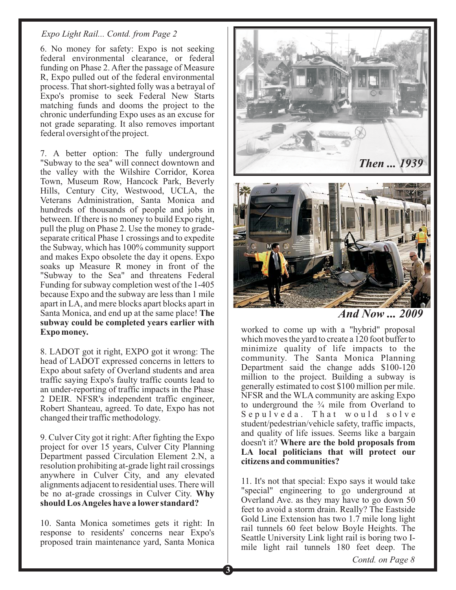#### *Expo Light Rail... Contd. from Page 2*

6. No money for safety: Expo is not seeking federal environmental clearance, or federal funding on Phase 2. After the passage of Measure R, Expo pulled out of the federal environmental process. That short-sighted folly was a betrayal of Expo's promise to seek Federal New Starts matching funds and dooms the project to the chronic underfunding Expo uses as an excuse for not grade separating. It also removes important federal oversight of the project.

7. A better option: The fully underground "Subway to the sea" will connect downtown and the valley with the Wilshire Corridor, Korea Town, Museum Row, Hancock Park, Beverly Hills, Century City, Westwood, UCLA, the Veterans Administration, Santa Monica and hundreds of thousands of people and jobs in between. If there is no money to build Expo right, pull the plug on Phase 2. Use the money to gradeseparate critical Phase 1 crossings and to expedite the Subway, which has 100% community support and makes Expo obsolete the day it opens. Expo soaks up Measure R money in front of the "Subway to the Sea" and threatens Federal Funding for subway completion west of the 1-405 because Expo and the subway are less than 1 mile apart in LA, and mere blocks apart blocks apart in Santa Monica, and end up at the same place! **The subway could be completed years earlier with Expo money.**

8. LADOT got it right, EXPO got it wrong: The head of LADOT expressed concerns in letters to Expo about safety of Overland students and area traffic saying Expo's faulty traffic counts lead to an under-reporting of traffic impacts in the Phase 2 DEIR. NFSR's independent traffic engineer, Robert Shanteau, agreed. To date, Expo has not changed their traffic methodology.

9. Culver City got it right: After fighting the Expo project for over 15 years, Culver City Planning Department passed Circulation Element 2.N, a resolution prohibiting at-grade light rail crossings anywhere in Culver City, and any elevated alignments adjacent to residential uses. There will be no at-grade crossings in Culver City. **Why should LosAngeles have a lower standard?**

10. Santa Monica sometimes gets it right: In response to residents' concerns near Expo's proposed train maintenance yard, Santa Monica



*And Now ... 2009*

worked to come up with a "hybrid" proposal which moves the yard to create a 120 foot buffer to minimize quality of life impacts to the community. The Santa Monica Planning Department said the change adds \$100-120 million to the project. Building a subway is generally estimated to cost \$100 million per mile. NFSR and the WLA community are asking Expo to underground the  $\frac{3}{4}$  mile from Overland to Sepulveda. That would solve student/pedestrian/vehicle safety, traffic impacts, and quality of life issues. Seems like a bargain doesn't it? **Where are the bold proposals from LA local politicians that will protect our citizens and communities?**

11. It's not that special: Expo says it would take "special" engineering to go underground at Overland Ave. as they may have to go down 50 feet to avoid a storm drain. Really? The Eastside Gold Line Extension has two 1.7 mile long light rail tunnels 60 feet below Boyle Heights. The Seattle University Link light rail is boring two Imile light rail tunnels 180 feet deep. The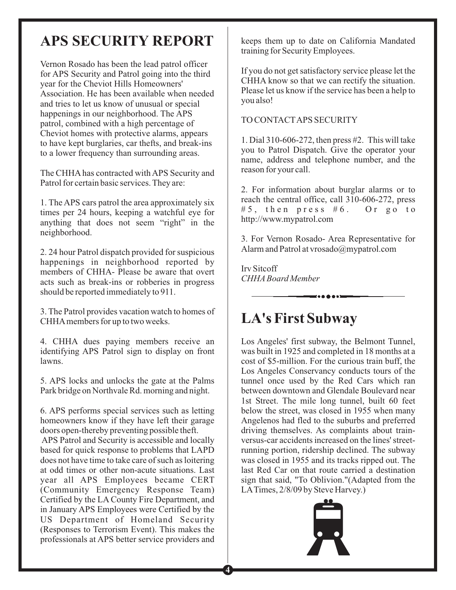# **APS SECURITY REPORT**

Vernon Rosado has been the lead patrol officer for APS Security and Patrol going into the third year for the Cheviot Hills Homeowners' Association. He has been available when needed and tries to let us know of unusual or special happenings in our neighborhood. The APS patrol, combined with a high percentage of Cheviot homes with protective alarms, appears to have kept burglaries, car thefts, and break-ins to a lower frequency than surrounding areas.

The CHHA has contracted with APS Security and Patrol for certain basic services. They are:

1. The APS cars patrol the area approximately six times per 24 hours, keeping a watchful eye for anything that does not seem "right" in the neighborhood.

2. 24 hour Patrol dispatch provided for suspicious happenings in neighborhood reported by members of CHHA- Please be aware that overt acts such as break-ins or robberies in progress should be reported immediately to 911.

3. The Patrol provides vacation watch to homes of CHHAmembers for up to two weeks.

4. CHHA dues paying members receive an identifying APS Patrol sign to display on front lawns.

5. APS locks and unlocks the gate at the Palms Park bridge on Northvale Rd. morning and night.

6. APS performs special services such as letting homeowners know if they have left their garage doors open-thereby preventing possible theft.

APS Patrol and Security is accessible and locally based for quick response to problems that LAPD does not have time to take care of such as loitering at odd times or other non-acute situations. Last year all APS Employees became CERT (Community Emergency Response Team) Certified by the LA County Fire Department, and in January APS Employees were Certified by the US Department of Homeland Security (Responses to Terrorism Event). This makes the professionals at APS better service providers and keeps them up to date on California Mandated training for Security Employees.

If you do not get satisfactory service please let the CHHA know so that we can rectify the situation. Please let us know if the service has been a help to you also!

#### TO CONTACTAPS SECURITY

1. Dial 310-606-272, then press #2. This will take you to Patrol Dispatch. Give the operator your name, address and telephone number, and the reason for your call.

2. For information about burglar alarms or to reach the central office, call 310-606-272, press #5, then press #6. Or go to http://www.mypatrol.com

3. For Vernon Rosado- Area Representative for Alarm and Patrol at vrosado@mypatrol.com

Irv Sitcoff *CHHA Board Member*

# **LA's First Subway**

Los Angeles' first subway, the Belmont Tunnel, was built in 1925 and completed in 18 months at a cost of \$5-million. For the curious train buff, the Los Angeles Conservancy conducts tours of the tunnel once used by the Red Cars which ran between downtown and Glendale Boulevard near 1st Street. The mile long tunnel, built 60 feet below the street, was closed in 1955 when many Angelenos had fled to the suburbs and preferred driving themselves. As complaints about trainversus-car accidents increased on the lines' streetrunning portion, ridership declined. The subway was closed in 1955 and its tracks ripped out. The last Red Car on that route carried a destination sign that said, "To Oblivion."(Adapted from the LATimes, 2/8/09 by Steve Harvey.)

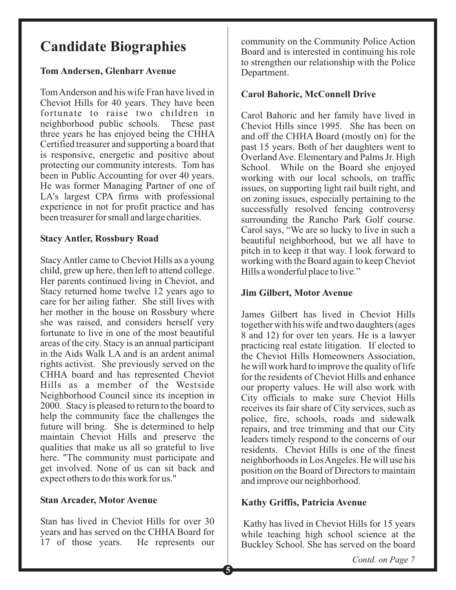# **Candidate Biographies**

### **Tom Andersen, Glenbarr Avenue**

Tom Anderson and his wife Fran have lived in Cheviot Hills for 40 years. They have been fortunate to raise two children in neighborhood public schools. These past three years he has enjoyed being the CHHA Certified treasurer and supporting a board that is responsive, energetic and positive about protecting our community interests. Tom has been in Public Accounting for over 40 years. He was former Managing Partner of one of LA's largest CPA firms with professional experience in not for profit practice and has been treasurer for small and large charities.

### **Stacy Antler, Rossbury Road**

Stacy Antler came to Cheviot Hills as a young child, grew up here, then left to attend college. Her parents continued living in Cheviot, and Stacy returned home twelve 12 years ago to care for her ailing father. She still lives with her mother in the house on Rossbury where she was raised, and considers herself very fortunate to live in one of the most beautiful areas of the city. Stacy is an annual participant in the Aids Walk LA and is an ardent animal rights activist. She previously served on the CHHA board and has represented Cheviot Hills as a member of the Westside Neighborhood Council since its inception in 2000. Stacy is pleased to return to the board to help the community face the challenges the future will bring. She is determined to help maintain Cheviot Hills and preserve the qualities that make us all so grateful to live here. "The community must participate and get involved. None of us can sit back and expect others to do this work for us."

### **Stan Arcader, Motor Avenue**

Stan has lived in Cheviot Hills for over 30 years and has served on the CHHA Board for 17 of those years. He represents our

community on the Community Police Action Board and is interested in continuing his role to strengthen our relationship with the Police Department.

### **Carol Bahoric, McConnell Drive**

Carol Bahoric and her family have lived in Cheviot Hills since 1995. She has been on and off the CHHA Board (mostly on) for the past 15 years. Both of her daughters went to OverlandAve. Elementary and Palms Jr. High School. While on the Board she enjoyed working with our local schools, on traffic issues, on supporting light rail built right, and on zoning issues, especially pertaining to the successfully resolved fencing controversy surrounding the Rancho Park Golf course. Carol says, "We are so lucky to live in such a beautiful neighborhood, but we all have to pitch in to keep it that way. I look forward to working with the Board again to keep Cheviot Hills a wonderful place to live."

### **Jim Gilbert, Motor Avenue**

James Gilbert has lived in Cheviot Hills together with his wife and two daughters (ages 8 and 12) for over ten years. He is a lawyer practicing real estate litigation. If elected to the Cheviot Hills Homeowners Association, he will work hard to improve the quality of life for the residents of Cheviot Hills and enhance our property values. He will also work with City officials to make sure Cheviot Hills receives its fair share of City services, such as police, fire, schools, roads and sidewalk repairs, and tree trimming and that our City leaders timely respond to the concerns of our residents. Cheviot Hills is one of the finest neighborhoods in LosAngeles. He will use his position on the Board of Directors to maintain and improve our neighborhood.

### **Kathy Griffis, Patricia Avenue**

Kathy has lived in Cheviot Hills for 15 years while teaching high school science at the Buckley School. She has served on the board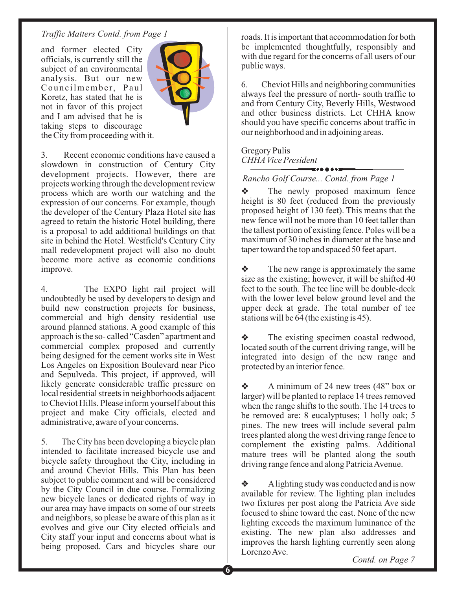and former elected City officials, is currently still the subject of an environmental analysis. But our new Councilmember, Paul Koretz, has stated that he is not in favor of this project and I am advised that he is taking steps to discourage the City from proceeding with it.



3. Recent economic conditions have caused a slowdown in construction of Century City development projects. However, there are projects working through the development review process which are worth our watching and the expression of our concerns. For example, though the developer of the Century Plaza Hotel site has agreed to retain the historic Hotel building, there is a proposal to add additional buildings on that site in behind the Hotel. Westfield's Century City mall redevelopment project will also no doubt become more active as economic conditions improve.

4. The EXPO light rail project will undoubtedly be used by developers to design and build new construction projects for business, commercial and high density residential use around planned stations. A good example of this approach is the so- called "Casden" apartment and commercial complex proposed and currently being designed for the cement works site in West Los Angeles on Exposition Boulevard near Pico and Sepulveda. This project, if approved, will likely generate considerable traffic pressure on local residential streets in neighborhoods adjacent to Cheviot Hills. Please inform yourself about this project and make City officials, elected and administrative, aware of your concerns.

5. The City has been developing a bicycle plan intended to facilitate increased bicycle use and bicycle safety throughout the City, including in and around Cheviot Hills. This Plan has been subject to public comment and will be considered by the City Council in due course. Formalizing new bicycle lanes or dedicated rights of way in our area may have impacts on some of our streets and neighbors, so please be aware of this plan as it evolves and give our City elected officials and City staff your input and concerns about what is being proposed. Cars and bicycles share our

*Traffic Matters Contd. from Page 1* roads. It is important that accommodation for both be implemented thoughtfully, responsibly and with due regard for the concerns of all users of our public ways.

> 6. Cheviot Hills and neighboring communities always feel the pressure of north- south traffic to and from Century City, Beverly Hills, Westwood and other business districts. Let CHHA know should you have specific concerns about traffic in our neighborhood and in adjoining areas.

#### Gregory Pulis *CHHA Vice President*

#### *Rancho Golf Course... Contd. from Page 1*

 $\frac{1}{2}$ The newly proposed maximum fence height is 80 feet (reduced from the previously proposed height of 130 feet). This means that the new fence will not be more than 10 feet taller than the tallest portion of existing fence. Poles will be a maximum of 30 inches in diameter at the base and taper toward the top and spaced 50 feet apart.

 $\bullet$ The new range is approximately the same size as the existing; however, it will be shifted 40 feet to the south. The tee line will be double-deck with the lower level below ground level and the upper deck at grade. The total number of tee stations will be 64 (the existing is 45).

 $\ddot{\bullet}$ The existing specimen coastal redwood, located south of the current driving range, will be integrated into design of the new range and protected by an interior fence.

 $\bullet$ A minimum of 24 new trees (48" box or larger) will be planted to replace 14 trees removed when the range shifts to the south. The 14 trees to be removed are: 8 eucalyptuses; 1 holly oak; 5 pines. The new trees will include several palm trees planted along the west driving range fence to complement the existing palms. Additional mature trees will be planted along the south driving range fence and along PatriciaAvenue.

 $\ddot{\bullet}$ Alighting study was conducted and is now available for review. The lighting plan includes two fixtures per post along the Patricia Ave side focused to shine toward the east. None of the new lighting exceeds the maximum luminance of the existing. The new plan also addresses and improves the harsh lighting currently seen along Lorenzo Ave.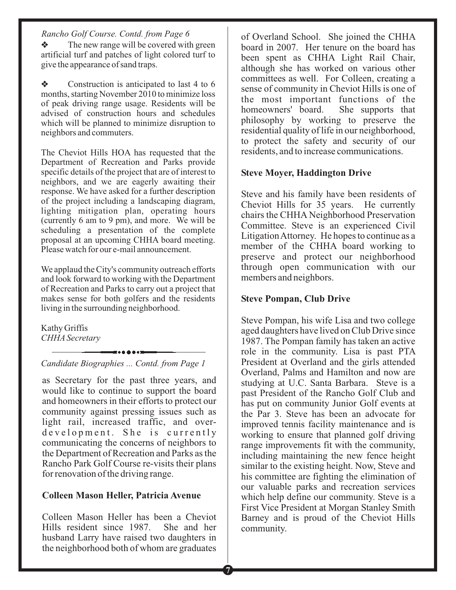#### *Rancho Golf Course. Contd. from Page 6*

 $\clubsuit$  The new range will be covered with green artificial turf and patches of light colored turf to give the appearance of sand traps.

 $\frac{1}{2}$  Construction is anticipated to last 4 to 6 months, starting November 2010 to minimize loss of peak driving range usage. Residents will be advised of construction hours and schedules which will be planned to minimize disruption to neighbors and commuters.

The Cheviot Hills HOA has requested that the Department of Recreation and Parks provide specific details of the project that are of interest to neighbors, and we are eagerly awaiting their response. We have asked for a further description of the project including a landscaping diagram, lighting mitigation plan, operating hours (currently 6 am to 9 pm), and more. We will be scheduling a presentation of the complete proposal at an upcoming CHHA board meeting. Please watch for our e-mail announcement.

We applaud the City's community outreach efforts and look forward to working with the Department of Recreation and Parks to carry out a project that makes sense for both golfers and the residents living in the surrounding neighborhood.

Kathy Griffis *CHHA Secretary*

*Candidate Biographies ... Contd. from Page 1*

as Secretary for the past three years, and would like to continue to support the board and homeowners in their efforts to protect our community against pressing issues such as light rail, increased traffic, and overdevelopment. She is currently communicating the concerns of neighbors to the Department of Recreation and Parks as the Rancho Park Golf Course re-visits their plans for renovation of the driving range.

#### **Colleen Mason Heller, Patricia Avenue**

Colleen Mason Heller has been a Cheviot Hills resident since 1987. She and her husband Larry have raised two daughters in the neighborhood both of whom are graduates

of Overland School. She joined the CHHA board in 2007. Her tenure on the board has been spent as CHHA Light Rail Chair, although she has worked on various other committees as well. For Colleen, creating a sense of community in Cheviot Hills is one of the most important functions of the homeowners' board. She supports that philosophy by working to preserve the residential quality of life in our neighborhood, to protect the safety and security of our residents, and to increase communications.

#### **Steve Moyer, Haddington Drive**

Steve and his family have been residents of Cheviot Hills for 35 years. He currently chairs the CHHA Neighborhood Preservation Committee. Steve is an experienced Civil LitigationAttorney. He hopes to continue as a member of the CHHA board working to preserve and protect our neighborhood through open communication with our members and neighbors.

#### **Steve Pompan, Club Drive**

Steve Pompan, his wife Lisa and two college aged daughters have lived on Club Drive since 1987. The Pompan family has taken an active role in the community. Lisa is past PTA President at Overland and the girls attended Overland, Palms and Hamilton and now are studying at U.C. Santa Barbara. Steve is a past President of the Rancho Golf Club and has put on community Junior Golf events at the Par 3. Steve has been an advocate for improved tennis facility maintenance and is working to ensure that planned golf driving range improvements fit with the community, including maintaining the new fence height similar to the existing height. Now, Steve and his committee are fighting the elimination of our valuable parks and recreation services which help define our community. Steve is a First Vice President at Morgan Stanley Smith Barney and is proud of the Cheviot Hills community.